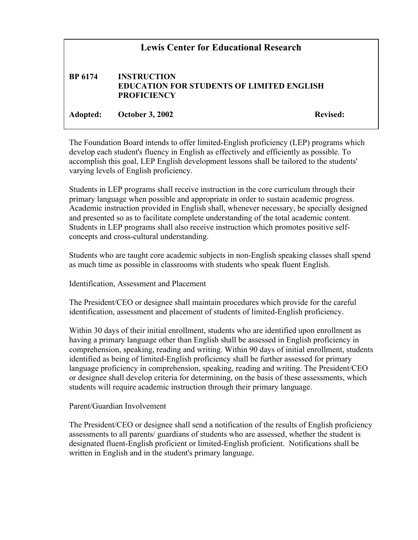## **Lewis Center for Educational Research BP 6174 INSTRUCTION EDUCATION FOR STUDENTS OF LIMITED ENGLISH PROFICIENCY** Adopted: October 3, 2002 Revised:

The Foundation Board intends to offer limited-English proficiency (LEP) programs which develop each student's fluency in English as effectively and efficiently as possible. To accomplish this goal, LEP English development lessons shall be tailored to the students' varying levels of English proficiency.

Students in LEP programs shall receive instruction in the core curriculum through their primary language when possible and appropriate in order to sustain academic progress. Academic instruction provided in English shall, whenever necessary, be specially designed and presented so as to facilitate complete understanding of the total academic content. Students in LEP programs shall also receive instruction which promotes positive selfconcepts and cross-cultural understanding.

Students who are taught core academic subjects in non-English speaking classes shall spend as much time as possible in classrooms with students who speak fluent English.

Identification, Assessment and Placement

The President/CEO or designee shall maintain procedures which provide for the careful identification, assessment and placement of students of limited-English proficiency.

Within 30 days of their initial enrollment, students who are identified upon enrollment as having a primary language other than English shall be assessed in English proficiency in comprehension, speaking, reading and writing. Within 90 days of initial enrollment, students identified as being of limited-English proficiency shall be further assessed for primary language proficiency in comprehension, speaking, reading and writing. The President/CEO or designee shall develop criteria for determining, on the basis of these assessments, which students will require academic instruction through their primary language.

Parent/Guardian Involvement

The President/CEO or designee shall send a notification of the results of English proficiency assessments to all parents/ guardians of students who are assessed, whether the student is designated fluent-English proficient or limited-English proficient. Notifications shall be written in English and in the student's primary language.